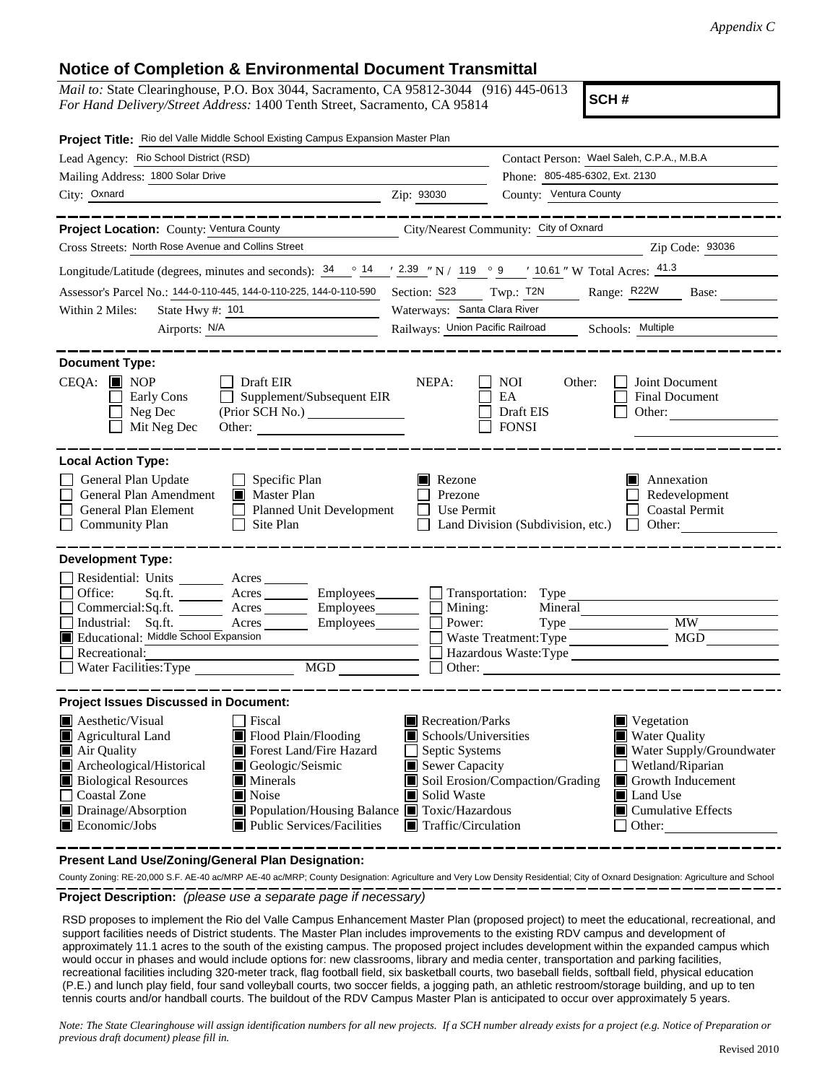## **Notice of Completion & Environmental Document Transmittal**

*Mail to:* State Clearinghouse, P.O. Box 3044, Sacramento, CA 95812-3044 (916) 445-0613 *For Hand Delivery/Street Address:* 1400 Tenth Street, Sacramento, CA 95814

**SCH #**

| Project Title: Rio del Valle Middle School Existing Campus Expansion Master Plan                                                                                                                                                                                                                                                                                                                                     |                                                                                                                                         |                                                                                                                                                                                                                |  |
|----------------------------------------------------------------------------------------------------------------------------------------------------------------------------------------------------------------------------------------------------------------------------------------------------------------------------------------------------------------------------------------------------------------------|-----------------------------------------------------------------------------------------------------------------------------------------|----------------------------------------------------------------------------------------------------------------------------------------------------------------------------------------------------------------|--|
| Lead Agency: Rio School District (RSD)                                                                                                                                                                                                                                                                                                                                                                               |                                                                                                                                         | Contact Person: Wael Saleh, C.P.A., M.B.A                                                                                                                                                                      |  |
| Mailing Address: 1800 Solar Drive                                                                                                                                                                                                                                                                                                                                                                                    |                                                                                                                                         | Phone: 805-485-6302, Ext. 2130                                                                                                                                                                                 |  |
| City: Oxnard<br>$\overline{2ip: 93030}$                                                                                                                                                                                                                                                                                                                                                                              |                                                                                                                                         | County: Ventura County                                                                                                                                                                                         |  |
| Project Location: County: Ventura County                                                                                                                                                                                                                                                                                                                                                                             |                                                                                                                                         | City/Nearest Community: City of Oxnard                                                                                                                                                                         |  |
| Cross Streets: North Rose Avenue and Collins Street                                                                                                                                                                                                                                                                                                                                                                  |                                                                                                                                         | Zip Code: 93036                                                                                                                                                                                                |  |
| Longitude/Latitude (degrees, minutes and seconds): $\frac{34}{14}$ $\frac{14}{14}$ $\frac{2.39}{14}$ N / 119 $\degree$ 9 $\degree$ 10.61 " W Total Acres: $\frac{41.3}{14}$                                                                                                                                                                                                                                          |                                                                                                                                         |                                                                                                                                                                                                                |  |
| Assessor's Parcel No.: 144-0-110-445, 144-0-110-225, 144-0-110-590                                                                                                                                                                                                                                                                                                                                                   |                                                                                                                                         | Section: S23 Twp.: T2N Range: R22W Base:                                                                                                                                                                       |  |
| State Hwy #: 101<br>Within 2 Miles:                                                                                                                                                                                                                                                                                                                                                                                  | Waterways: Santa Clara River                                                                                                            |                                                                                                                                                                                                                |  |
| Airports: N/A                                                                                                                                                                                                                                                                                                                                                                                                        | Railways: Union Pacific Railroad Schools: Multiple                                                                                      |                                                                                                                                                                                                                |  |
| <b>Document Type:</b>                                                                                                                                                                                                                                                                                                                                                                                                |                                                                                                                                         |                                                                                                                                                                                                                |  |
| $CEQA:$ MOP<br>$\Box$ Draft EIR<br>Early Cons<br>$\Box$ Supplement/Subsequent EIR<br>Neg Dec<br>Mit Neg Dec<br>Other:                                                                                                                                                                                                                                                                                                | NEPA:                                                                                                                                   | NOI 1<br>Other:<br>Joint Document<br>EA<br>Final Document<br>Draft EIS<br>Other:<br><b>FONSI</b>                                                                                                               |  |
| <b>Local Action Type:</b>                                                                                                                                                                                                                                                                                                                                                                                            |                                                                                                                                         |                                                                                                                                                                                                                |  |
| General Plan Update<br>$\Box$ Specific Plan<br>General Plan Amendment<br>Master Plan<br>General Plan Element<br>Planned Unit Development<br>Community Plan<br>$\Box$ Site Plan                                                                                                                                                                                                                                       | Rezone<br>Prezone<br>$\Box$ Use Permit                                                                                                  | Annexation<br>П<br>Redevelopment<br>Coastal Permit<br>$\Box$ Land Division (Subdivision, etc.)<br>$\Box$ Other:                                                                                                |  |
| <b>Development Type:</b>                                                                                                                                                                                                                                                                                                                                                                                             |                                                                                                                                         |                                                                                                                                                                                                                |  |
| Residential: Units ________ Acres _____<br>Sq.ft. _______ Acres ________ Employees_______ _ Transportation: Type<br>Office:<br>Commercial:Sq.ft. ________ Acres _________ Employees ________ __ Mining:<br>Industrial: Sq.ft.<br>Acres Employees<br>Educational: Middle School Expansion<br>Recreational:<br>MGD NGD                                                                                                 | Power:                                                                                                                                  | Mineral<br><b>MW</b><br>Waste Treatment: Type MGD<br>Hazardous Waste:Type                                                                                                                                      |  |
| <b>Project Issues Discussed in Document:</b>                                                                                                                                                                                                                                                                                                                                                                         |                                                                                                                                         |                                                                                                                                                                                                                |  |
| <b>A</b> esthetic/Visual<br>  Fiscal<br>Flood Plain/Flooding<br>$\blacksquare$ Agricultural Land<br>Forest Land/Fire Hazard<br>Air Quality<br>Archeological/Historical<br>Geologic/Seismic<br><b>Biological Resources</b><br>$\blacksquare$ Minerals<br>Coastal Zone<br>■ Noise<br>Drainage/Absorption<br>Population/Housing Balance Toxic/Hazardous<br>$\blacksquare$ Economic/Jobs<br>■ Public Services/Facilities | Recreation/Parks<br>Schools/Universities<br>Septic Systems<br>ℾ⅃<br>Sewer Capacity<br>Solid Waste<br>$\blacksquare$ Traffic/Circulation | $\blacksquare$ Vegetation<br>■ Water Quality<br>Water Supply/Groundwater<br>Wetland/Riparian<br>Soil Erosion/Compaction/Grading<br>Growth Inducement<br>Land Use<br>$\Box$ Cumulative Effects<br>$\Box$ Other: |  |

**Present Land Use/Zoning/General Plan Designation:**

**Project Description:** *(please use a separate page if necessary)* County Zoning: RE-20,000 S.F. AE-40 ac/MRP AE-40 ac/MRP; County Designation: Agriculture and Very Low Density Residential; City of Oxnard Designation: Agriculture and School

 RSD proposes to implement the Rio del Valle Campus Enhancement Master Plan (proposed project) to meet the educational, recreational, and support facilities needs of District students. The Master Plan includes improvements to the existing RDV campus and development of approximately 11.1 acres to the south of the existing campus. The proposed project includes development within the expanded campus which would occur in phases and would include options for: new classrooms, library and media center, transportation and parking facilities, recreational facilities including 320-meter track, flag football field, six basketball courts, two baseball fields, softball field, physical education (P.E.) and lunch play field, four sand volleyball courts, two soccer fields, a jogging path, an athletic restroom/storage building, and up to ten tennis courts and/or handball courts. The buildout of the RDV Campus Master Plan is anticipated to occur over approximately 5 years.

*Note: The State Clearinghouse will assign identification numbers for all new projects. If a SCH number already exists for a project (e.g. Notice of Preparation or previous draft document) please fill in.*